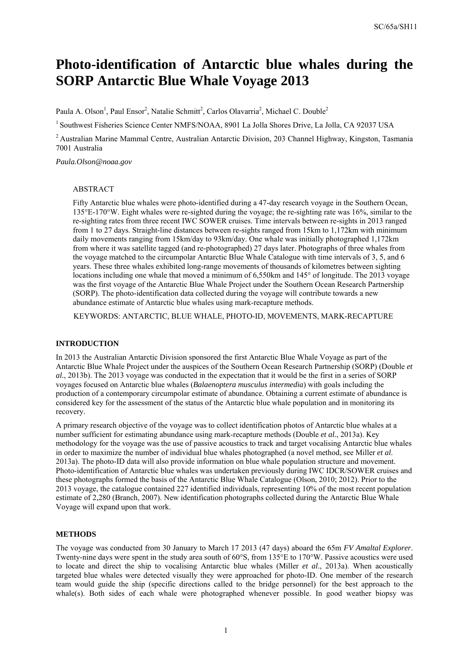# **Photo-identification of Antarctic blue whales during the SORP Antarctic Blue Whale Voyage 2013**

Paula A. Olson<sup>1</sup>, Paul Ensor<sup>2</sup>, Natalie Schmitt<sup>2</sup>, Carlos Olavarria<sup>2</sup>, Michael C. Double<sup>2</sup>

<sup>1</sup> Southwest Fisheries Science Center NMFS/NOAA, 8901 La Jolla Shores Drive, La Jolla, CA 92037 USA

2 Australian Marine Mammal Centre, Australian Antarctic Division, 203 Channel Highway, Kingston, Tasmania 7001 Australia

*Paula.Olson@noaa.gov* 

#### ABSTRACT

Fifty Antarctic blue whales were photo-identified during a 47-day research voyage in the Southern Ocean, 135°E-170°W. Eight whales were re-sighted during the voyage; the re-sighting rate was 16%, similar to the re-sighting rates from three recent IWC SOWER cruises. Time intervals between re-sights in 2013 ranged from 1 to 27 days. Straight-line distances between re-sights ranged from 15km to 1,172km with minimum daily movements ranging from 15km/day to 93km/day. One whale was initially photographed 1,172km from where it was satellite tagged (and re-photographed) 27 days later. Photographs of three whales from the voyage matched to the circumpolar Antarctic Blue Whale Catalogue with time intervals of 3, 5, and 6 years. These three whales exhibited long-range movements of thousands of kilometres between sighting locations including one whale that moved a minimum of 6,550km and 145° of longitude. The 2013 voyage was the first voyage of the Antarctic Blue Whale Project under the Southern Ocean Research Partnership (SORP). The photo-identification data collected during the voyage will contribute towards a new abundance estimate of Antarctic blue whales using mark-recapture methods.

KEYWORDS: ANTARCTIC, BLUE WHALE, PHOTO-ID, MOVEMENTS, MARK-RECAPTURE

#### **INTRODUCTION**

In 2013 the Australian Antarctic Division sponsored the first Antarctic Blue Whale Voyage as part of the Antarctic Blue Whale Project under the auspices of the Southern Ocean Research Partnership (SORP) (Double *et al.*, 2013b). The 2013 voyage was conducted in the expectation that it would be the first in a series of SORP voyages focused on Antarctic blue whales (*Balaenoptera musculus intermedia*) with goals including the production of a contemporary circumpolar estimate of abundance. Obtaining a current estimate of abundance is considered key for the assessment of the status of the Antarctic blue whale population and in monitoring its recovery.

A primary research objective of the voyage was to collect identification photos of Antarctic blue whales at a number sufficient for estimating abundance using mark-recapture methods (Double *et al.*, 2013a). Key methodology for the voyage was the use of passive acoustics to track and target vocalising Antarctic blue whales in order to maximize the number of individual blue whales photographed (a novel method, see Miller *et al*. 2013a). The photo-ID data will also provide information on blue whale population structure and movement. Photo-identification of Antarctic blue whales was undertaken previously during IWC IDCR/SOWER cruises and these photographs formed the basis of the Antarctic Blue Whale Catalogue (Olson, 2010; 2012). Prior to the 2013 voyage, the catalogue contained 227 identified individuals, representing 10% of the most recent population estimate of 2,280 (Branch, 2007). New identification photographs collected during the Antarctic Blue Whale Voyage will expand upon that work.

# **METHODS**

The voyage was conducted from 30 January to March 17 2013 (47 days) aboard the 65m *FV Amaltal Explorer*. Twenty-nine days were spent in the study area south of 60°S, from 135°E to 170°W. Passive acoustics were used to locate and direct the ship to vocalising Antarctic blue whales (Miller *et al*., 2013a). When acoustically targeted blue whales were detected visually they were approached for photo-ID. One member of the research team would guide the ship (specific directions called to the bridge personnel) for the best approach to the whale(s). Both sides of each whale were photographed whenever possible. In good weather biopsy was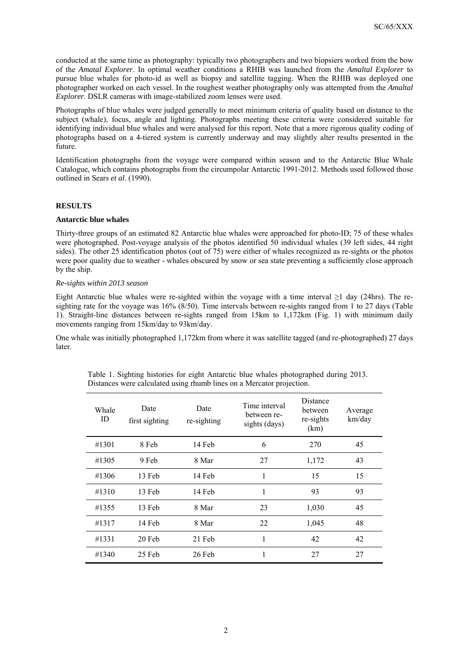conducted at the same time as photography: typically two photographers and two biopsiers worked from the bow of the *Amatal Explorer*. In optimal weather conditions a RHIB was launched from the *Amaltal Explorer* to pursue blue whales for photo-id as well as biopsy and satellite tagging. When the RHIB was deployed one photographer worked on each vessel. In the roughest weather photography only was attempted from the *Amaltal Explorer*. DSLR cameras with image-stabilized zoom lenses were used.

Photographs of blue whales were judged generally to meet minimum criteria of quality based on distance to the subject (whale), focus, angle and lighting. Photographs meeting these criteria were considered suitable for identifying individual blue whales and were analysed for this report. Note that a more rigorous quality coding of photographs based on a 4-tiered system is currently underway and may slightly alter results presented in the future.

Identification photographs from the voyage were compared within season and to the Antarctic Blue Whale Catalogue, which contains photographs from the circumpolar Antarctic 1991-2012. Methods used followed those outlined in Sears *et al*. (1990).

# **RESULTS**

# **Antarctic blue whales**

Thirty-three groups of an estimated 82 Antarctic blue whales were approached for photo-ID; 75 of these whales were photographed. Post-voyage analysis of the photos identified 50 individual whales (39 left sides, 44 right sides). The other 25 identification photos (out of 75) were either of whales recognized as re-sights or the photos were poor quality due to weather - whales obscured by snow or sea state preventing a sufficiently close approach by the ship.

# *Re-sights within 2013 season*

Eight Antarctic blue whales were re-sighted within the voyage with a time interval  $\geq 1$  day (24hrs). The resighting rate for the voyage was 16% (8/50). Time intervals between re-sights ranged from 1 to 27 days (Table 1). Straight-line distances between re-sights ranged from 15km to 1,172km (Fig. 1) with minimum daily movements ranging from 15km/day to 93km/day.

One whale was initially photographed 1,172km from where it was satellite tagged (and re-photographed) 27 days later.

| Whale<br>ID | Date<br>first sighting | Date<br>re-sighting | Time interval<br>between re-<br>sights (days) | Distance<br>between<br>re-sights<br>(km) | Average<br>km/day |
|-------------|------------------------|---------------------|-----------------------------------------------|------------------------------------------|-------------------|
| #1301       | 8 Feb                  | 14 Feb              | 6                                             | 270                                      | 45                |
| #1305       | 9 Feb                  | 8 Mar               | 27                                            | 1,172                                    | 43                |
| #1306       | 13 Feb                 | 14 Feb              | 1                                             | 15                                       | 15                |
| #1310       | 13 Feb                 | 14 Feb              | 1                                             | 93                                       | 93                |
| #1355       | 13 Feb                 | 8 Mar               | 23                                            | 1,030                                    | 45                |
| #1317       | 14 Feb                 | 8 Mar               | 22                                            | 1,045                                    | 48                |
| #1331       | 20 Feb                 | 21 Feb              | 1                                             | 42                                       | 42                |
| #1340       | 25 Feb                 | 26 Feb              | 1                                             | 27                                       | 27                |

Table 1. Sighting histories for eight Antarctic blue whales photographed during 2013. Distances were calculated using rhumb lines on a Mercator projection.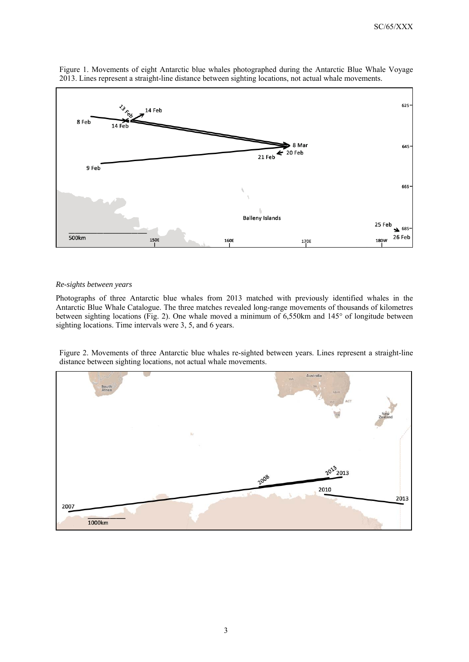

Figure 1. Movements of eight Antarctic blue whales photographed during the Antarctic Blue Whale Voyage 2013. Lines represent a straight-line distance between sighting locations, not actual whale movements.

#### *Re-sights between years*

Photographs of three Antarctic blue whales from 2013 matched with previously identified whales in the Antarctic Blue Whale Catalogue. The three matches revealed long-range movements of thousands of kilometres between sighting locations (Fig. 2). One whale moved a minimum of 6,550km and 145° of longitude between sighting locations. Time intervals were 3, 5, and 6 years.

Figure 2. Movements of three Antarctic blue whales re-sighted between years. Lines represent a straight-line distance between sighting locations, not actual whale movements.

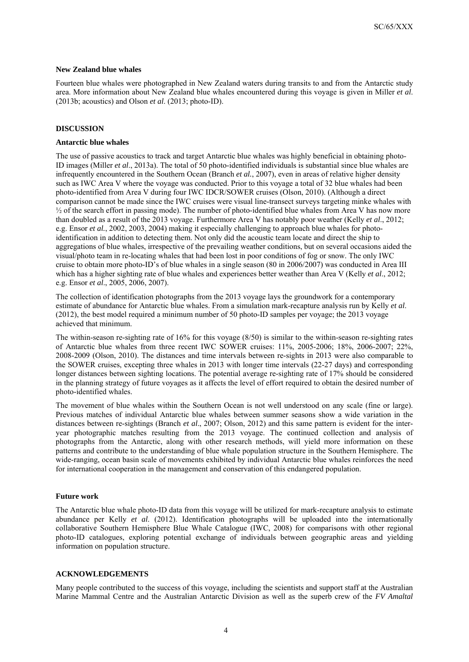#### **New Zealand blue whales**

Fourteen blue whales were photographed in New Zealand waters during transits to and from the Antarctic study area. More information about New Zealand blue whales encountered during this voyage is given in Miller *et al*. (2013b; acoustics) and Olson *et al*. (2013; photo-ID).

### **DISCUSSION**

#### **Antarctic blue whales**

The use of passive acoustics to track and target Antarctic blue whales was highly beneficial in obtaining photo-ID images (Miller *et al*., 2013a). The total of 50 photo-identified individuals is substantial since blue whales are infrequently encountered in the Southern Ocean (Branch *et al.*, 2007), even in areas of relative higher density such as IWC Area V where the voyage was conducted. Prior to this voyage a total of 32 blue whales had been photo-identified from Area V during four IWC IDCR/SOWER cruises (Olson, 2010). (Although a direct comparison cannot be made since the IWC cruises were visual line-transect surveys targeting minke whales with ½ of the search effort in passing mode). The number of photo-identified blue whales from Area V has now more than doubled as a result of the 2013 voyage. Furthermore Area V has notably poor weather (Kelly *et al*., 2012; e.g. Ensor *et al.*, 2002, 2003, 2004) making it especially challenging to approach blue whales for photoidentification in addition to detecting them. Not only did the acoustic team locate and direct the ship to aggregations of blue whales, irrespective of the prevailing weather conditions, but on several occasions aided the visual/photo team in re-locating whales that had been lost in poor conditions of fog or snow. The only IWC cruise to obtain more photo-ID's of blue whales in a single season (80 in 2006/2007) was conducted in Area III which has a higher sighting rate of blue whales and experiences better weather than Area V (Kelly *et al*., 2012; e.g. Ensor *et al*., 2005, 2006, 2007).

The collection of identification photographs from the 2013 voyage lays the groundwork for a contemporary estimate of abundance for Antarctic blue whales. From a simulation mark-recapture analysis run by Kelly *et al*. (2012), the best model required a minimum number of 50 photo-ID samples per voyage; the 2013 voyage achieved that minimum.

The within-season re-sighting rate of 16% for this voyage (8/50) is similar to the within-season re-sighting rates of Antarctic blue whales from three recent IWC SOWER cruises: 11%, 2005-2006; 18%, 2006-2007; 22%, 2008-2009 (Olson, 2010). The distances and time intervals between re-sights in 2013 were also comparable to the SOWER cruises, excepting three whales in 2013 with longer time intervals (22-27 days) and corresponding longer distances between sighting locations. The potential average re-sighting rate of 17% should be considered in the planning strategy of future voyages as it affects the level of effort required to obtain the desired number of photo-identified whales.

The movement of blue whales within the Southern Ocean is not well understood on any scale (fine or large). Previous matches of individual Antarctic blue whales between summer seasons show a wide variation in the distances between re-sightings (Branch *et al*., 2007; Olson, 2012) and this same pattern is evident for the interyear photographic matches resulting from the 2013 voyage. The continued collection and analysis of photographs from the Antarctic, along with other research methods, will yield more information on these patterns and contribute to the understanding of blue whale population structure in the Southern Hemisphere. The wide-ranging, ocean basin scale of movements exhibited by individual Antarctic blue whales reinforces the need for international cooperation in the management and conservation of this endangered population.

#### **Future work**

The Antarctic blue whale photo-ID data from this voyage will be utilized for mark-recapture analysis to estimate abundance per Kelly *et al*. (2012). Identification photographs will be uploaded into the internationally collaborative Southern Hemisphere Blue Whale Catalogue (IWC, 2008) for comparisons with other regional photo-ID catalogues, exploring potential exchange of individuals between geographic areas and yielding information on population structure.

#### **ACKNOWLEDGEMENTS**

Many people contributed to the success of this voyage, including the scientists and support staff at the Australian Marine Mammal Centre and the Australian Antarctic Division as well as the superb crew of the *FV Amaltal*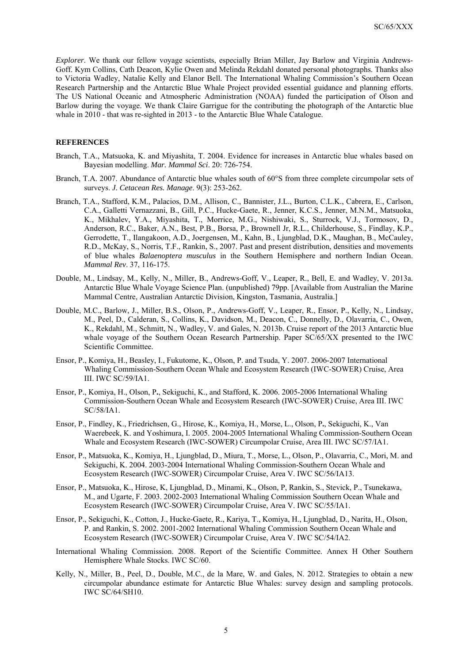*Explorer*. We thank our fellow voyage scientists, especially Brian Miller, Jay Barlow and Virginia Andrews-Goff. Kym Collins, Cath Deacon, Kylie Owen and Melinda Rekdahl donated personal photographs. Thanks also to Victoria Wadley, Natalie Kelly and Elanor Bell. The International Whaling Commission's Southern Ocean Research Partnership and the Antarctic Blue Whale Project provided essential guidance and planning efforts. The US National Oceanic and Atmospheric Administration (NOAA) funded the participation of Olson and Barlow during the voyage. We thank Claire Garrigue for the contributing the photograph of the Antarctic blue whale in 2010 - that was re-sighted in 2013 - to the Antarctic Blue Whale Catalogue.

# **REFERENCES**

- Branch, T.A., Matsuoka, K. and Miyashita, T. 2004. Evidence for increases in Antarctic blue whales based on Bayesian modelling. *Mar. Mammal Sci*. 20: 726-754.
- Branch, T.A. 2007. Abundance of Antarctic blue whales south of 60°S from three complete circumpolar sets of surveys. *J. Cetacean Res. Manage*. 9(3): 253-262.
- Branch, T.A., Stafford, K.M., Palacios, D.M., Allison, C., Bannister, J.L., Burton, C.L.K., Cabrera, E., Carlson, C.A., Galletti Vernazzani, B., Gill, P.C., Hucke-Gaete, R., Jenner, K.C.S., Jenner, M.N.M., Matsuoka, K., Mikhalev, Y.A., Miyashita, T., Morrice, M.G., Nishiwaki, S., Sturrock, V.J., Tormosov, D., Anderson, R.C., Baker, A.N., Best, P.B., Borsa, P., Brownell Jr, R.L., Childerhouse, S., Findlay, K.P., Gerrodette, T., Ilangakoon, A.D., Joergensen, M., Kahn, B., Ljungblad, D.K., Maughan, B., McCauley, R.D., McKay, S., Norris, T.F., Rankin, S., 2007. Past and present distribution, densities and movements of blue whales *Balaenoptera musculus* in the Southern Hemisphere and northern Indian Ocean. *Mammal Rev*. 37, 116-175.
- Double, M., Lindsay, M., Kelly, N., Miller, B., Andrews-Goff, V., Leaper, R., Bell, E. and Wadley, V. 2013a. Antarctic Blue Whale Voyage Science Plan. (unpublished) 79pp. [Available from Australian the Marine Mammal Centre, Australian Antarctic Division, Kingston, Tasmania, Australia.]
- Double, M.C., Barlow, J., Miller, B.S., Olson, P., Andrews-Goff, V., Leaper, R., Ensor, P., Kelly, N., Lindsay, M., Peel, D., Calderan, S., Collins, K., Davidson, M., Deacon, C., Donnelly, D., Olavarria, C., Owen, K., Rekdahl, M., Schmitt, N., Wadley, V. and Gales, N. 2013b. Cruise report of the 2013 Antarctic blue whale voyage of the Southern Ocean Research Partnership. Paper SC/65/XX presented to the IWC Scientific Committee.
- Ensor, P., Komiya, H., Beasley, I., Fukutome, K., Olson, P. and Tsuda, Y. 2007. 2006-2007 International Whaling Commission-Southern Ocean Whale and Ecosystem Research (IWC-SOWER) Cruise, Area III. IWC SC/59/IA1.
- Ensor, P., Komiya, H., Olson, P**.**, Sekiguchi, K., and Stafford, K. 2006. 2005-2006 International Whaling Commission-Southern Ocean Whale and Ecosystem Research (IWC-SOWER) Cruise, Area III. IWC SC/58/IA1.
- Ensor, P., Findley, K., Friedrichsen, G., Hirose, K., Komiya, H., Morse, L., Olson, P**.**, Sekiguchi, K., Van Waerebeek, K. and Yoshimura, I. 2005. 2004-2005 International Whaling Commission-Southern Ocean Whale and Ecosystem Research (IWC-SOWER) Circumpolar Cruise, Area III. IWC SC/57/IA1.
- Ensor, P., Matsuoka, K., Komiya, H., Ljungblad, D., Miura, T., Morse, L., Olson, P., Olavarria, C., Mori, M. and Sekiguchi, K. 2004. 2003-2004 International Whaling Commission-Southern Ocean Whale and Ecosystem Research (IWC-SOWER) Circumpolar Cruise, Area V. IWC SC/56/IA13.
- Ensor, P., Matsuoka, K., Hirose, K, Ljungblad, D., Minami, K., Olson, P, Rankin, S., Stevick, P., Tsunekawa, M., and Ugarte, F. 2003. 2002-2003 International Whaling Commission Southern Ocean Whale and Ecosystem Research (IWC-SOWER) Circumpolar Cruise, Area V. IWC SC/55/IA1.
- Ensor, P., Sekiguchi, K., Cotton, J., Hucke-Gaete, R., Kariya, T., Komiya, H., Ljungblad, D., Narita, H., Olson, P. and Rankin, S. 2002. 2001-2002 International Whaling Commission Southern Ocean Whale and Ecosystem Research (IWC-SOWER) Circumpolar Cruise, Area V. IWC SC/54/IA2.
- International Whaling Commission. 2008. Report of the Scientific Committee. Annex H Other Southern Hemisphere Whale Stocks. IWC SC/60.
- Kelly, N., Miller, B., Peel, D., Double, M.C., de la Mare, W. and Gales, N. 2012. Strategies to obtain a new circumpolar abundance estimate for Antarctic Blue Whales: survey design and sampling protocols. IWC SC/64/SH10.